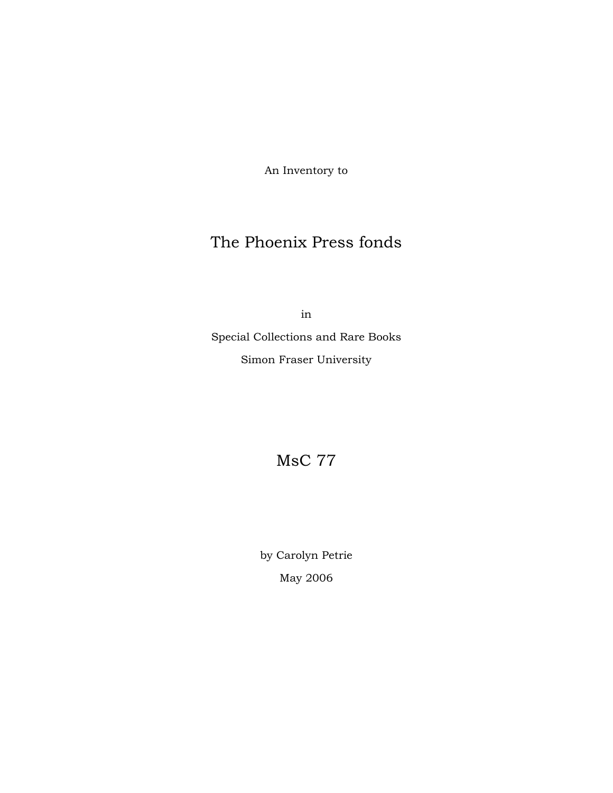An Inventory to

# The Phoenix Press fonds

in

Special Collections and Rare Books Simon Fraser University

MsC 77

by Carolyn Petrie May 2006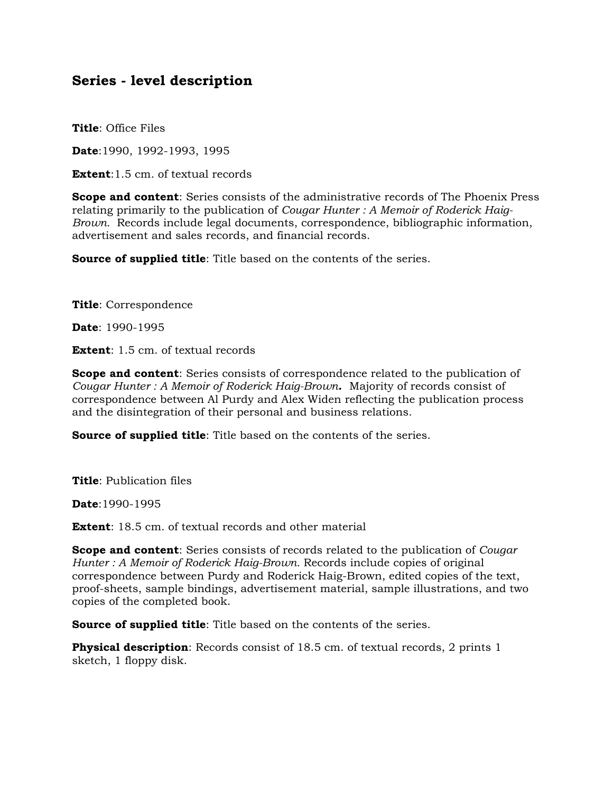## **Series - level description**

**Title**: Office Files

**Date**:1990, 1992-1993, 1995

**Extent**: 1.5 cm. of textual records

**Scope and content**: Series consists of the administrative records of The Phoenix Press relating primarily to the publication of *Cougar Hunter : A Memoir of Roderick Haig-Brown.* Records include legal documents, correspondence, bibliographic information, advertisement and sales records, and financial records.

**Source of supplied title**: Title based on the contents of the series.

**Title**: Correspondence

**Date**: 1990-1995

**Extent**: 1.5 cm. of textual records

**Scope and content**: Series consists of correspondence related to the publication of *Cougar Hunter : A Memoir of Roderick Haig-Brown.* Majority of records consist of correspondence between Al Purdy and Alex Widen reflecting the publication process and the disintegration of their personal and business relations.

**Source of supplied title**: Title based on the contents of the series.

**Title**: Publication files

**Date**:1990-1995

**Extent**: 18.5 cm. of textual records and other material

**Scope and content**: Series consists of records related to the publication of *Cougar Hunter : A Memoir of Roderick Haig-Brown.* Records include copies of original correspondence between Purdy and Roderick Haig-Brown, edited copies of the text, proof-sheets, sample bindings, advertisement material, sample illustrations, and two copies of the completed book.

**Source of supplied title**: Title based on the contents of the series.

**Physical description**: Records consist of 18.5 cm. of textual records, 2 prints 1 sketch, 1 floppy disk.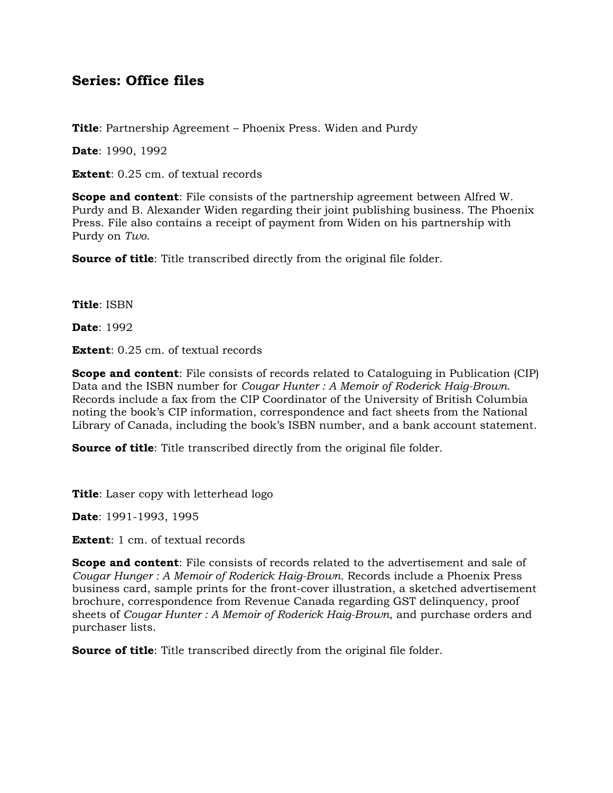## **Series: Office files**

**Title**: Partnership Agreement – Phoenix Press. Widen and Purdy

**Date**: 1990, 1992

**Extent**: 0.25 cm. of textual records

**Scope and content**: File consists of the partnership agreement between Alfred W. Purdy and B. Alexander Widen regarding their joint publishing business. The Phoenix Press. File also contains a receipt of payment from Widen on his partnership with Purdy on *Two*.

**Source of title**: Title transcribed directly from the original file folder.

**Title**: ISBN

**Date**: 1992

**Extent**: 0.25 cm. of textual records

**Scope and content**: File consists of records related to Cataloguing in Publication (CIP) Data and the ISBN number for *Cougar Hunter : A Memoir of Roderick Haig-Brown.* Records include a fax from the CIP Coordinator of the University of British Columbia noting the book's CIP information, correspondence and fact sheets from the National Library of Canada, including the book's ISBN number, and a bank account statement.

**Source of title:** Title transcribed directly from the original file folder.

**Title**: Laser copy with letterhead logo

**Date**: 1991-1993, 1995

**Extent**: 1 cm. of textual records

**Scope and content**: File consists of records related to the advertisement and sale of *Cougar Hunger : A Memoir of Roderick Haig-Brown.* Records include a Phoenix Press business card, sample prints for the front-cover illustration, a sketched advertisement brochure, correspondence from Revenue Canada regarding GST delinquency, proof sheets of *Cougar Hunter : A Memoir of Roderick Haig-Brown*, and purchase orders and purchaser lists.

**Source of title**: Title transcribed directly from the original file folder.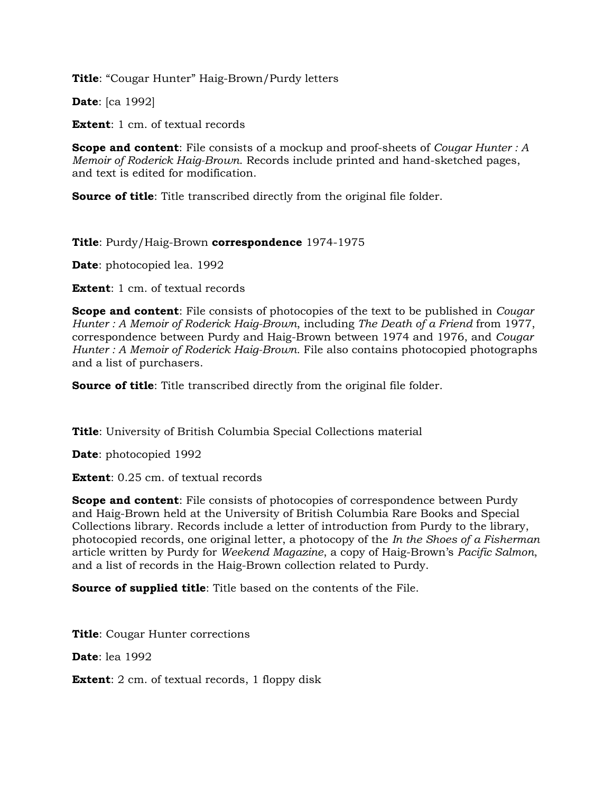**Title**: "Cougar Hunter" Haig-Brown/Purdy letters

**Date**: [ca 1992]

**Extent**: 1 cm. of textual records

**Scope and content**: File consists of a mockup and proof-sheets of *Cougar Hunter : A Memoir of Roderick Haig-Brown*. Records include printed and hand-sketched pages, and text is edited for modification.

**Source of title:** Title transcribed directly from the original file folder.

### **Title**: Purdy/Haig-Brown **correspondence** 1974-1975

**Date**: photocopied lea. 1992

**Extent**: 1 cm. of textual records

**Scope and content**: File consists of photocopies of the text to be published in *Cougar Hunter : A Memoir of Roderick Haig-Brown*, including *The Death of a Friend* from 1977, correspondence between Purdy and Haig-Brown between 1974 and 1976, and *Cougar Hunter : A Memoir of Roderick Haig-Brown.* File also contains photocopied photographs and a list of purchasers.

**Source of title:** Title transcribed directly from the original file folder.

**Title**: University of British Columbia Special Collections material

**Date**: photocopied 1992

**Extent**: 0.25 cm. of textual records

**Scope and content**: File consists of photocopies of correspondence between Purdy and Haig-Brown held at the University of British Columbia Rare Books and Special Collections library. Records include a letter of introduction from Purdy to the library, photocopied records, one original letter, a photocopy of the *In the Shoes of a Fisherman* article written by Purdy for *Weekend Magazine*, a copy of Haig-Brown's *Pacific Salmon*, and a list of records in the Haig-Brown collection related to Purdy.

**Source of supplied title**: Title based on the contents of the File.

**Title**: Cougar Hunter corrections

**Date**: lea 1992

**Extent**: 2 cm. of textual records, 1 floppy disk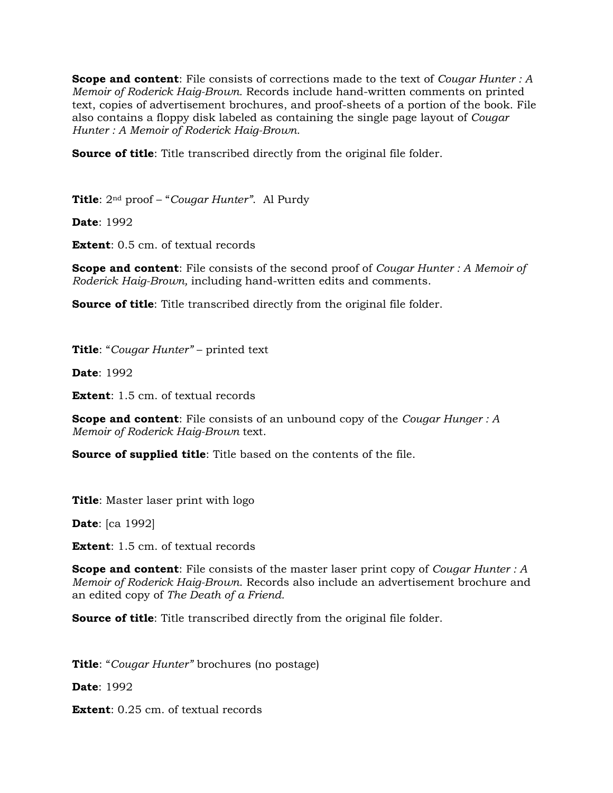**Scope and content**: File consists of corrections made to the text of *Cougar Hunter : A Memoir of Roderick Haig-Brown.* Records include hand-written comments on printed text, copies of advertisement brochures, and proof-sheets of a portion of the book. File also contains a floppy disk labeled as containing the single page layout of *Cougar Hunter : A Memoir of Roderick Haig-Brown.*

**Source of title**: Title transcribed directly from the original file folder.

**Title**: 2nd proof – "*Cougar Hunter"*. Al Purdy

**Date**: 1992

**Extent**: 0.5 cm. of textual records

**Scope and content**: File consists of the second proof of *Cougar Hunter : A Memoir of Roderick Haig-Brown,* including hand-written edits and comments.

**Source of title:** Title transcribed directly from the original file folder.

**Title**: "*Cougar Hunter"* – printed text

**Date**: 1992

**Extent**: 1.5 cm. of textual records

**Scope and content**: File consists of an unbound copy of the *Cougar Hunger : A Memoir of Roderick Haig-Brown* text.

**Source of supplied title**: Title based on the contents of the file.

**Title**: Master laser print with logo

**Date**: [ca 1992]

**Extent**: 1.5 cm. of textual records

**Scope and content**: File consists of the master laser print copy of *Cougar Hunter : A Memoir of Roderick Haig-Brown*. Records also include an advertisement brochure and an edited copy of *The Death of a Friend.*

**Source of title:** Title transcribed directly from the original file folder.

**Title**: "*Cougar Hunter"* brochures (no postage)

**Date**: 1992

**Extent**: 0.25 cm. of textual records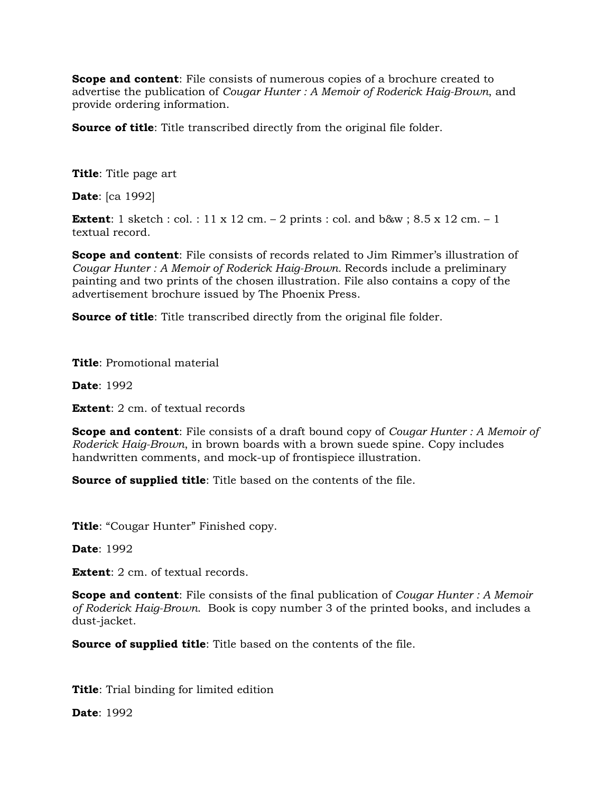**Scope and content**: File consists of numerous copies of a brochure created to advertise the publication of *Cougar Hunter : A Memoir of Roderick Haig-Brown*, and provide ordering information.

**Source of title**: Title transcribed directly from the original file folder.

**Title**: Title page art

**Date**: [ca 1992]

**Extent**: 1 sketch : col. : 11 x 12 cm.  $-$  2 prints : col. and b&w ; 8.5 x 12 cm.  $-$  1 textual record.

**Scope and content**: File consists of records related to Jim Rimmer's illustration of *Cougar Hunter : A Memoir of Roderick Haig-Brown.* Records include a preliminary painting and two prints of the chosen illustration. File also contains a copy of the advertisement brochure issued by The Phoenix Press.

**Source of title:** Title transcribed directly from the original file folder.

**Title**: Promotional material

**Date**: 1992

**Extent**: 2 cm. of textual records

**Scope and content**: File consists of a draft bound copy of *Cougar Hunter : A Memoir of Roderick Haig-Brown*, in brown boards with a brown suede spine. Copy includes handwritten comments, and mock-up of frontispiece illustration.

**Source of supplied title**: Title based on the contents of the file.

**Title**: "Cougar Hunter" Finished copy.

**Date**: 1992

**Extent**: 2 cm. of textual records.

**Scope and content**: File consists of the final publication of *Cougar Hunter : A Memoir of Roderick Haig-Brown*. Book is copy number 3 of the printed books, and includes a dust-jacket.

**Source of supplied title**: Title based on the contents of the file.

**Title**: Trial binding for limited edition

**Date**: 1992